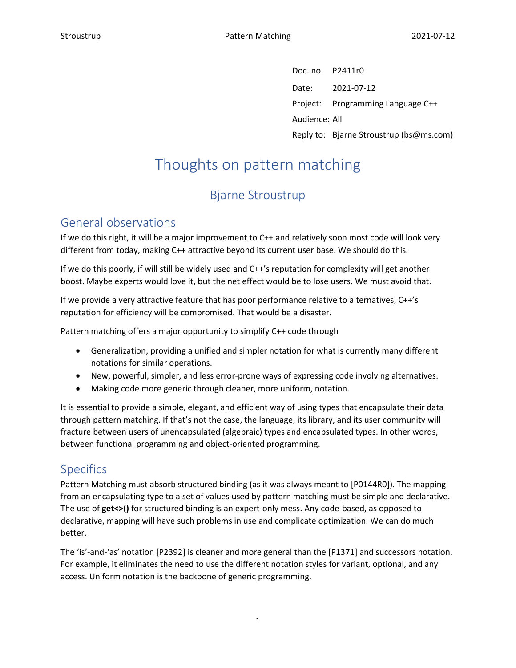Doc. no. P2411r0 Date: 2021-07-12 Project: Programming Language C++ Audience: All Reply to: Bjarne Stroustrup (bs@ms.com)

# Thoughts on pattern matching

# Bjarne Stroustrup

## General observations

If we do this right, it will be a major improvement to C++ and relatively soon most code will look very different from today, making C++ attractive beyond its current user base. We should do this.

If we do this poorly, if will still be widely used and C++'s reputation for complexity will get another boost. Maybe experts would love it, but the net effect would be to lose users. We must avoid that.

If we provide a very attractive feature that has poor performance relative to alternatives, C++'s reputation for efficiency will be compromised. That would be a disaster.

Pattern matching offers a major opportunity to simplify C++ code through

- Generalization, providing a unified and simpler notation for what is currently many different notations for similar operations.
- New, powerful, simpler, and less error-prone ways of expressing code involving alternatives.
- Making code more generic through cleaner, more uniform, notation.

It is essential to provide a simple, elegant, and efficient way of using types that encapsulate their data through pattern matching. If that's not the case, the language, its library, and its user community will fracture between users of unencapsulated (algebraic) types and encapsulated types. In other words, between functional programming and object-oriented programming.

#### Specifics

Pattern Matching must absorb structured binding (as it was always meant to [P0144R0]). The mapping from an encapsulating type to a set of values used by pattern matching must be simple and declarative. The use of **get<>()** for structured binding is an expert-only mess. Any code-based, as opposed to declarative, mapping will have such problems in use and complicate optimization. We can do much better.

The 'is'-and-'as' notation [P2392] is cleaner and more general than the [P1371] and successors notation. For example, it eliminates the need to use the different notation styles for variant, optional, and any access. Uniform notation is the backbone of generic programming.